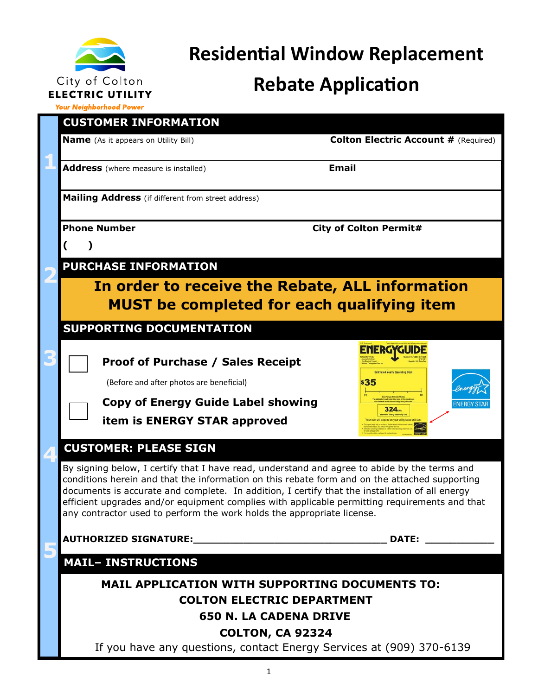

# **Residential Window Replacement**

# **Rebate Application**

**Your Neighborhood Power** 

| <b>CUSTOMER INFORMATION</b>                                                                                                                                                                                                                                                                                                                                                                                                                                                |                                             |  |
|----------------------------------------------------------------------------------------------------------------------------------------------------------------------------------------------------------------------------------------------------------------------------------------------------------------------------------------------------------------------------------------------------------------------------------------------------------------------------|---------------------------------------------|--|
| <b>Name</b> (As it appears on Utility Bill)                                                                                                                                                                                                                                                                                                                                                                                                                                | <b>Colton Electric Account # (Required)</b> |  |
| Address (where measure is installed)                                                                                                                                                                                                                                                                                                                                                                                                                                       | <b>Email</b>                                |  |
| Mailing Address (if different from street address)                                                                                                                                                                                                                                                                                                                                                                                                                         |                                             |  |
| <b>Phone Number</b>                                                                                                                                                                                                                                                                                                                                                                                                                                                        | <b>City of Colton Permit#</b>               |  |
|                                                                                                                                                                                                                                                                                                                                                                                                                                                                            |                                             |  |
| <b>PURCHASE INFORMATION</b>                                                                                                                                                                                                                                                                                                                                                                                                                                                |                                             |  |
| In order to receive the Rebate, ALL information<br><b>MUST</b> be completed for each qualifying item                                                                                                                                                                                                                                                                                                                                                                       |                                             |  |
| <b>SUPPORTING DOCUMENTATION</b>                                                                                                                                                                                                                                                                                                                                                                                                                                            |                                             |  |
|                                                                                                                                                                                                                                                                                                                                                                                                                                                                            | <b>ENERGYGUIDE</b>                          |  |
| <b>Proof of Purchase / Sales Receipt</b>                                                                                                                                                                                                                                                                                                                                                                                                                                   | <b>Estimated Yearly Operating Cos</b>       |  |
| (Before and after photos are beneficial)                                                                                                                                                                                                                                                                                                                                                                                                                                   | \$35                                        |  |
| <b>Copy of Energy Guide Label showing</b>                                                                                                                                                                                                                                                                                                                                                                                                                                  | ENERGY STA<br>324 <sub>nm</sub>             |  |
| item is ENERGY STAR approved                                                                                                                                                                                                                                                                                                                                                                                                                                               |                                             |  |
| <b>CUSTOMER: PLEASE SIGN</b>                                                                                                                                                                                                                                                                                                                                                                                                                                               |                                             |  |
| By signing below, I certify that I have read, understand and agree to abide by the terms and<br>conditions herein and that the information on this rebate form and on the attached supporting<br>documents is accurate and complete. In addition, I certify that the installation of all energy<br>efficient upgrades and/or equipment complies with applicable permitting requirements and that<br>any contractor used to perform the work holds the appropriate license. |                                             |  |
|                                                                                                                                                                                                                                                                                                                                                                                                                                                                            | <b>DATE:</b>                                |  |
| <b>MAIL- INSTRUCTIONS</b>                                                                                                                                                                                                                                                                                                                                                                                                                                                  |                                             |  |
| <b>MAIL APPLICATION WITH SUPPORTING DOCUMENTS TO:</b>                                                                                                                                                                                                                                                                                                                                                                                                                      |                                             |  |
| <b>COLTON ELECTRIC DEPARTMENT</b>                                                                                                                                                                                                                                                                                                                                                                                                                                          |                                             |  |
| <b>650 N. LA CADENA DRIVE</b>                                                                                                                                                                                                                                                                                                                                                                                                                                              |                                             |  |
| <b>COLTON, CA 92324</b>                                                                                                                                                                                                                                                                                                                                                                                                                                                    |                                             |  |
| If you have any questions, contact Energy Services at (909) 370-6139                                                                                                                                                                                                                                                                                                                                                                                                       |                                             |  |